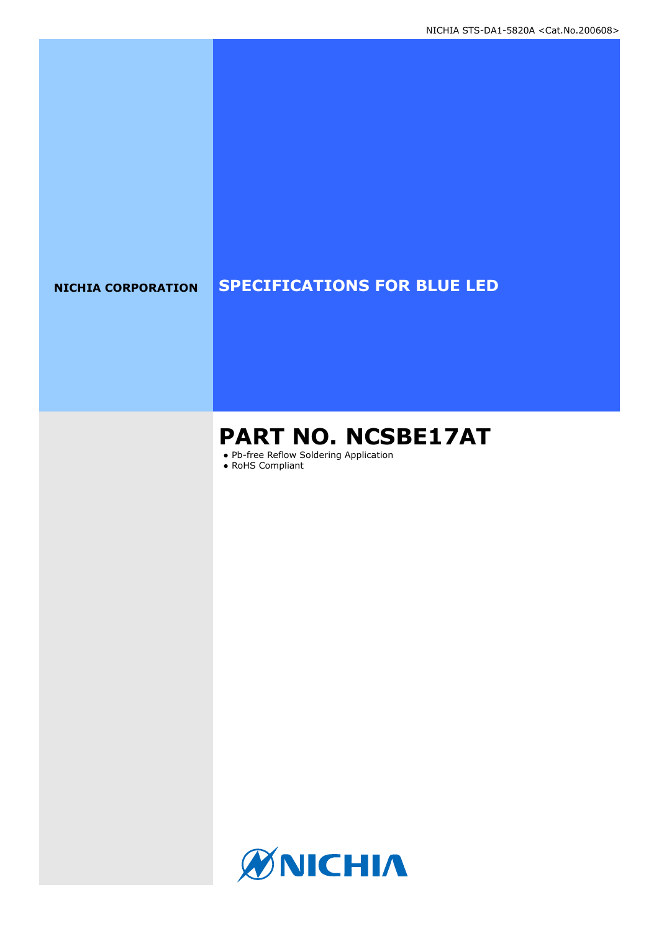# **NICHIA CORPORATION SPECIFICATIONS FOR BLUE LED**

# **PART NO. NCSBE17AT**

● Pb-free Reflow Soldering Application

● RoHS Compliant

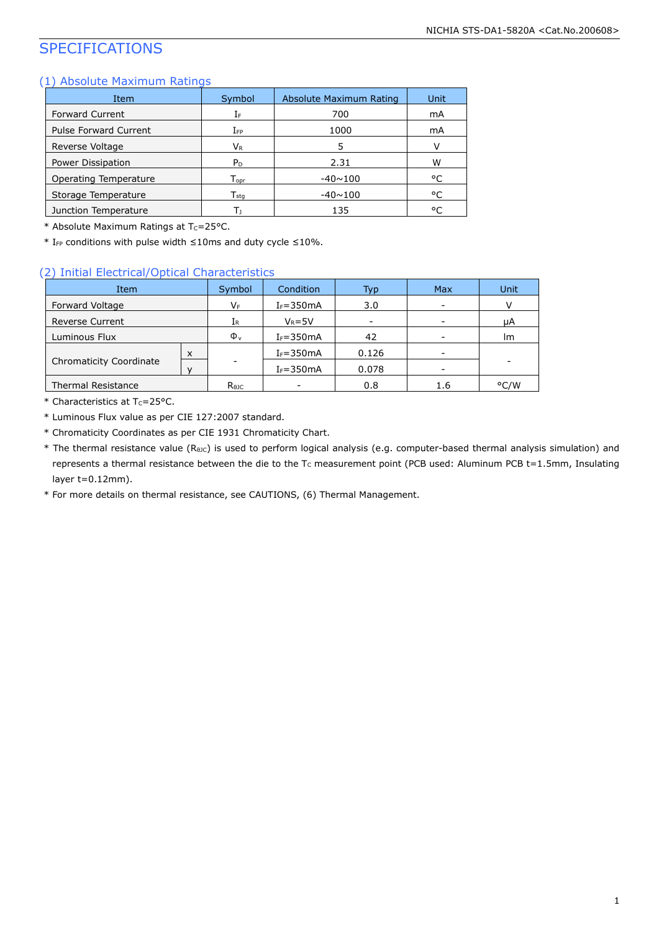# SPECIFICATIONS

### (1) Absolute Maximum Ratings

| Item                         | Symbol                      | Absolute Maximum Rating | Unit |
|------------------------------|-----------------------------|-------------------------|------|
| <b>Forward Current</b>       | ΙF                          | 700                     | mA   |
| <b>Pulse Forward Current</b> | $I_{FP}$                    | 1000                    | mA   |
| Reverse Voltage              | Vr                          | 5                       |      |
| Power Dissipation            | P <sub>D</sub>              | 2.31                    | W    |
| Operating Temperature        | $\mathsf{T}_{\mathsf{oor}}$ | $-40 \sim 100$          | °C   |
| Storage Temperature          | $\mathsf{T}_{\mathsf{stq}}$ | $-40 \sim 100$          | °C   |
| Junction Temperature         | Т١                          | 135                     | °C   |

\* Absolute Maximum Ratings at  $T_c = 25$ °C.

\* IFP conditions with pulse width ≤10ms and duty cycle ≤10%.

### (2) Initial Electrical/Optical Characteristics

| Item                      |   | Symbol         | Condition     | Typ   | <b>Max</b>      | Unit |
|---------------------------|---|----------------|---------------|-------|-----------------|------|
| Forward Voltage           |   | VF             | $I_F = 350mA$ | 3.0   |                 |      |
| <b>Reverse Current</b>    |   | 1R.            | $V_R = 5V$    |       |                 | μA   |
| Luminous Flux             |   | $\Phi_{\rm v}$ | $I_F = 350mA$ | 42    |                 | lm   |
|                           | X |                | $I_F = 350mA$ | 0.126 | $\qquad \qquad$ |      |
| Chromaticity Coordinate   |   |                | $I_F = 350mA$ | 0.078 |                 |      |
| <b>Thermal Resistance</b> |   | $R_{\theta$ JC |               | 0.8   | 1.6             | °C/W |

 $*$  Characteristics at T<sub>c</sub>=25°C.

\* Luminous Flux value as per CIE 127:2007 standard.

- \* Chromaticity Coordinates as per CIE 1931 Chromaticity Chart.
- \* The thermal resistance value (RθJC) is used to perform logical analysis (e.g. computer-based thermal analysis simulation) and represents a thermal resistance between the die to the Tc measurement point (PCB used: Aluminum PCB t=1.5mm, Insulating layer t=0.12mm).

\* For more details on thermal resistance, see CAUTIONS, (6) Thermal Management.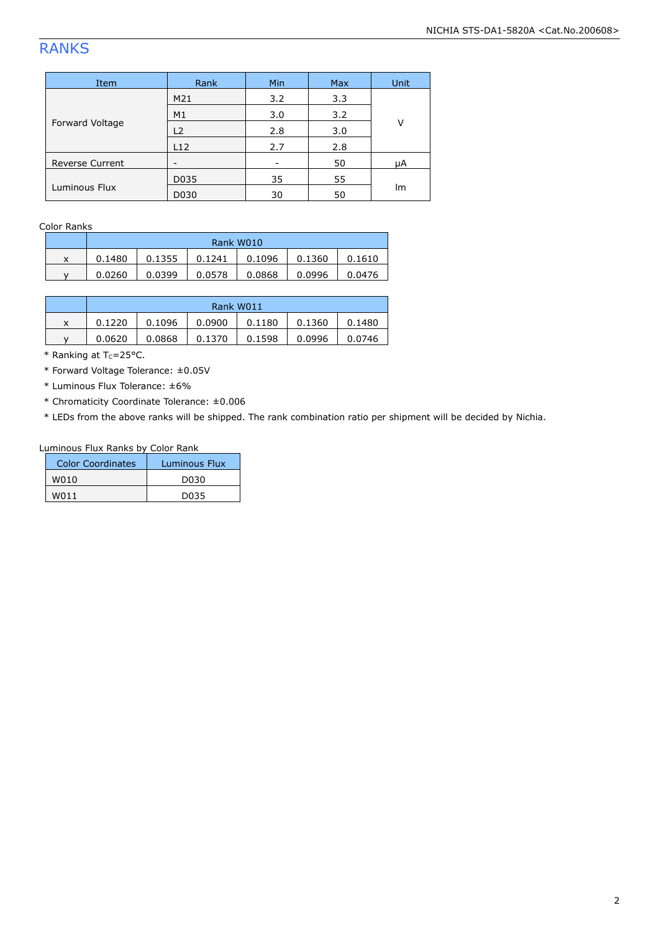# RANKS

| Item                   | Rank | Min | <b>Max</b> | Unit |  |
|------------------------|------|-----|------------|------|--|
| Forward Voltage        | M21  | 3.2 | 3.3        |      |  |
|                        | M1   | 3.0 | 3.2        |      |  |
|                        | L2   | 2.8 | 3.0        | v    |  |
|                        | L12  | 2.7 | 2.8        |      |  |
| <b>Reverse Current</b> |      |     | 50         | μA   |  |
|                        | D035 | 35  | 55         | lm   |  |
| Luminous Flux          | D030 | 30  | 50         |      |  |

Color Ranks

|   | Rank W010 |        |        |        |        |        |  |
|---|-----------|--------|--------|--------|--------|--------|--|
| x | 0.1480    | 0.1355 | 0.1241 | 0.1096 | 0.1360 | 0.1610 |  |
|   | 0.0260    | 0.0399 | 0.0578 | 0.0868 | 0.0996 | 0.0476 |  |

|   | Rank W011 |        |        |        |        |        |  |
|---|-----------|--------|--------|--------|--------|--------|--|
| x | 0.1220    | 0.1096 | 0.0900 | 0.1180 | 0.1360 | 0.1480 |  |
|   | 0.0620    | 0.0868 | 0.1370 | 0.1598 | 0.0996 | 0.0746 |  |

 $*$  Ranking at Tc=25°C.

\* Forward Voltage Tolerance: ±0.05V

\* Luminous Flux Tolerance: ±6%

\* Chromaticity Coordinate Tolerance: ±0.006

\* LEDs from the above ranks will be shipped. The rank combination ratio per shipment will be decided by Nichia.

### Luminous Flux Ranks by Color Rank

| Color Coordinates | Luminous Flux |
|-------------------|---------------|
| W010              | DU3U          |
| W011              | DU35          |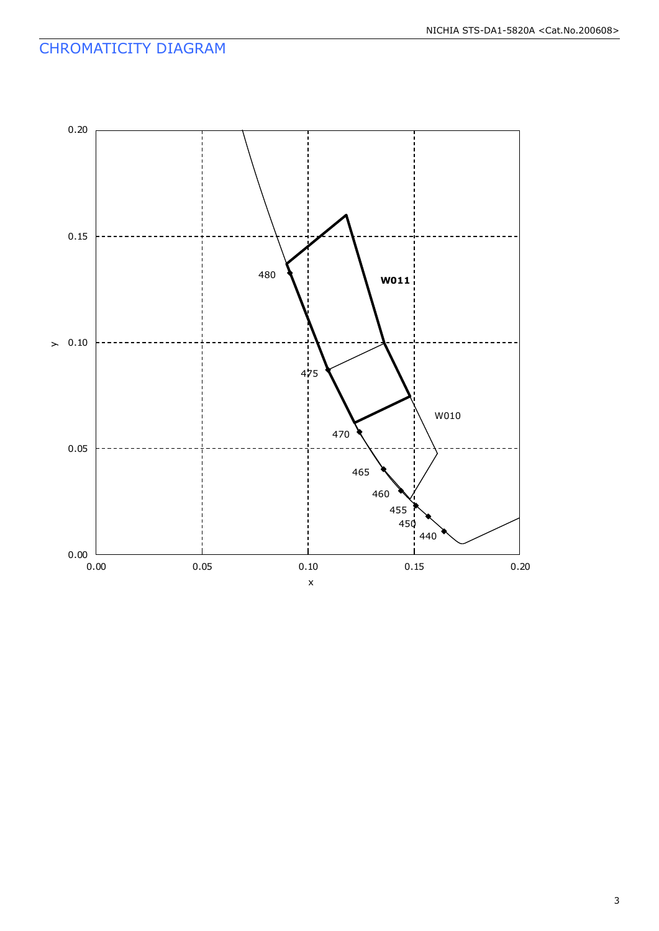# CHROMATICITY DIAGRAM

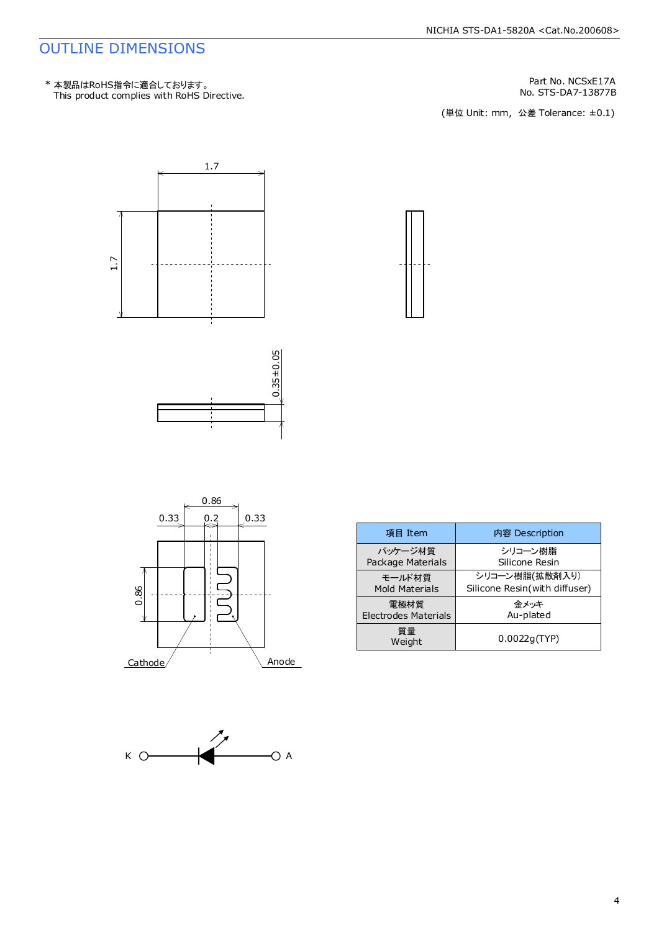# OUTLINE DIMENSIONS

Part No. NCSxE17A

No. STS-DA7-13877B<br>(単位 Unit: mm,公差 Tolerance: ±0.1)











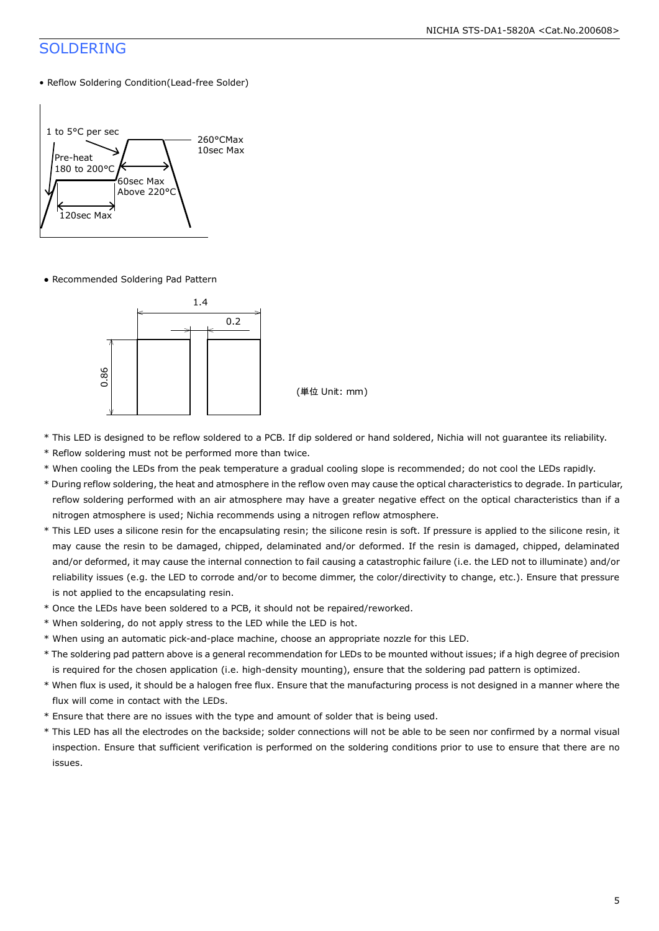# SOLDERING

• Reflow Soldering Condition(Lead-free Solder)



● Recommended Soldering Pad Pattern



(単位 Unit: mm)

- \* This LED is designed to be reflow soldered to a PCB. If dip soldered or hand soldered, Nichia will not guarantee its reliability.
- \* Reflow soldering must not be performed more than twice.
- \* When cooling the LEDs from the peak temperature a gradual cooling slope is recommended; do not cool the LEDs rapidly.
- \* During reflow soldering, the heat and atmosphere in the reflow oven may cause the optical characteristics to degrade. In particular, reflow soldering performed with an air atmosphere may have a greater negative effect on the optical characteristics than if a nitrogen atmosphere is used; Nichia recommends using a nitrogen reflow atmosphere.
- \* This LED uses a silicone resin for the encapsulating resin; the silicone resin is soft. If pressure is applied to the silicone resin, it may cause the resin to be damaged, chipped, delaminated and/or deformed. If the resin is damaged, chipped, delaminated and/or deformed, it may cause the internal connection to fail causing a catastrophic failure (i.e. the LED not to illuminate) and/or reliability issues (e.g. the LED to corrode and/or to become dimmer, the color/directivity to change, etc.). Ensure that pressure is not applied to the encapsulating resin.
- \* Once the LEDs have been soldered to a PCB, it should not be repaired/reworked.
- \* When soldering, do not apply stress to the LED while the LED is hot.
- \* When using an automatic pick-and-place machine, choose an appropriate nozzle for this LED.
- \* The soldering pad pattern above is a general recommendation for LEDs to be mounted without issues; if a high degree of precision is required for the chosen application (i.e. high-density mounting), ensure that the soldering pad pattern is optimized.
- \* When flux is used, it should be a halogen free flux. Ensure that the manufacturing process is not designed in a manner where the flux will come in contact with the LEDs.
- \* Ensure that there are no issues with the type and amount of solder that is being used.
- \* This LED has all the electrodes on the backside; solder connections will not be able to be seen nor confirmed by a normal visual inspection. Ensure that sufficient verification is performed on the soldering conditions prior to use to ensure that there are no issues.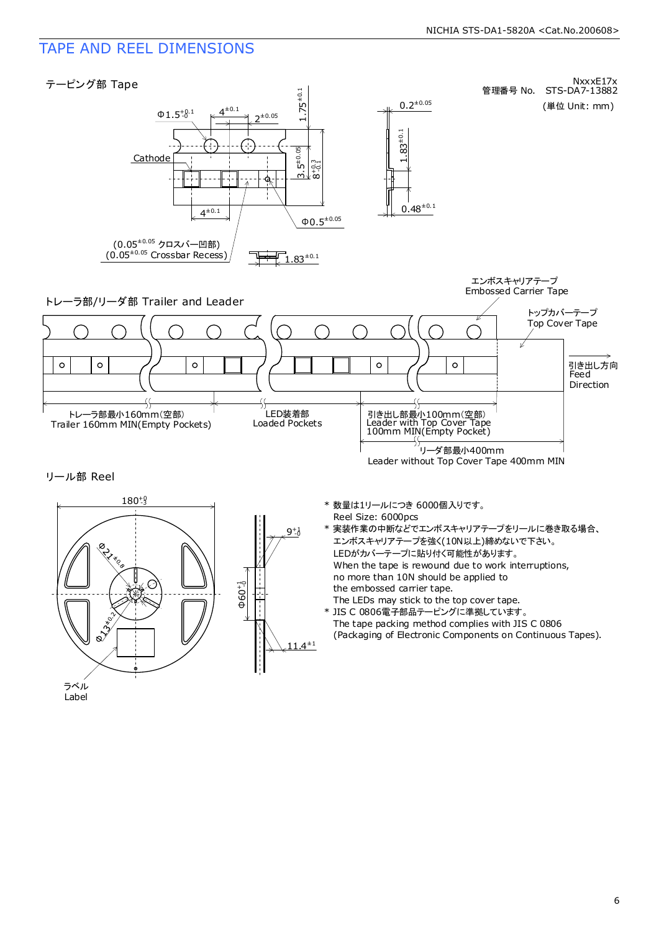# TAPE AND REEL DIMENSIONS

Label



6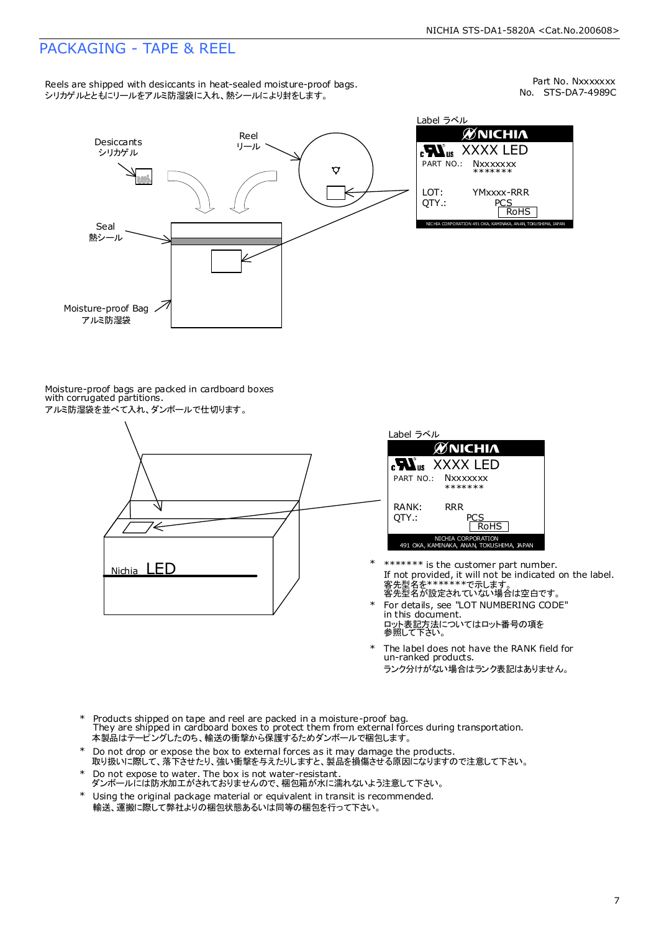# PACKAGING - TAPE & REEL

Reels are shipped with desiccants in heat-sealed moisture-proof bags. シリカゲルとともにリールをアルミ防湿袋に入れ、熱シールにより封をします。

No. STS-DA7-4989C Part No. Nxxxxxxx



Label ラベル  $\mathscr{U}$ NICHIA XXXX LED **Nxxxxxxx** \*\*\*\*\*\*\* YMxxxx-RRR  $\frac{25}{\text{ROHS}}$ 

Moisture-proof bags are packed in cardboard boxes with corrugated partitions. アルミ防湿袋を並べて入れ、ダンボールで仕切ります。

# '∈ Nichia LED



- 客先型名を\*\*\*\*\*\*\*\*で示します。<br>客先型名が設定されていない場合は空白です。 If not provided, it will not be indicated on the label. \*\*\*\*\*\*\* is the customer part number. \*
- For details, see "LOT NUMBERING CODE" in this document. ロット表記方法についてはロット番号の項を<br>参照して下さい。 \*
- The label does not have the RANK field for un-ranked products. ランク分けがない場合はランク表記はありません。 \*
- Products shipped on tape and reel are packed in a moisture-proof bag. They are shipped in cardboard boxes to protect them from external forces during transportation. 本製品はテーピングしたのち、輸送の衝撃から保護するためダンボールで梱包します。 \*
- Do not drop or expose the box to external forces as it may damage the products. 取り扱いに際して、落下させたり、強い衝撃を与えたりしますと、製品を損傷させる原因になりますので注意して下さい。 \*
- Do not expose to water. The box is not water-resistant. ダンボールには防水加工がされておりませんので、梱包箱が水に濡れないよう注意して下さい。 \*
- \* Using the original package material or equivalent in transit is recommended. 輸送、運搬に際して弊社よりの梱包状態あるいは同等の梱包を行って下さい。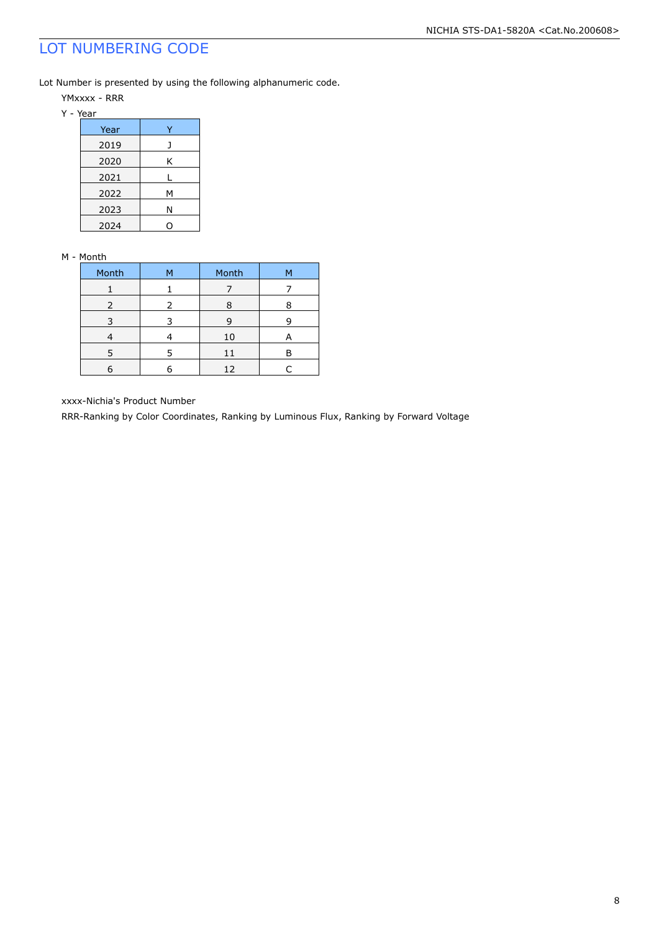# LOT NUMBERING CODE

Lot Number is presented by using the following alphanumeric code.

- YMxxxx RRR
- Y Year

| Year |   |
|------|---|
| 2019 |   |
| 2020 | Κ |
| 2021 |   |
| 2022 | м |
| 2023 | Ν |
| 2024 |   |

### M - Month

| Month         | М | Month | м |
|---------------|---|-------|---|
|               |   |       |   |
| $\mathcal{L}$ | 2 |       |   |
|               |   | Р     |   |
|               |   | 10    | А |
| 5             | 5 | 11    |   |
|               |   | 12    |   |

xxxx-Nichia's Product Number

RRR-Ranking by Color Coordinates, Ranking by Luminous Flux, Ranking by Forward Voltage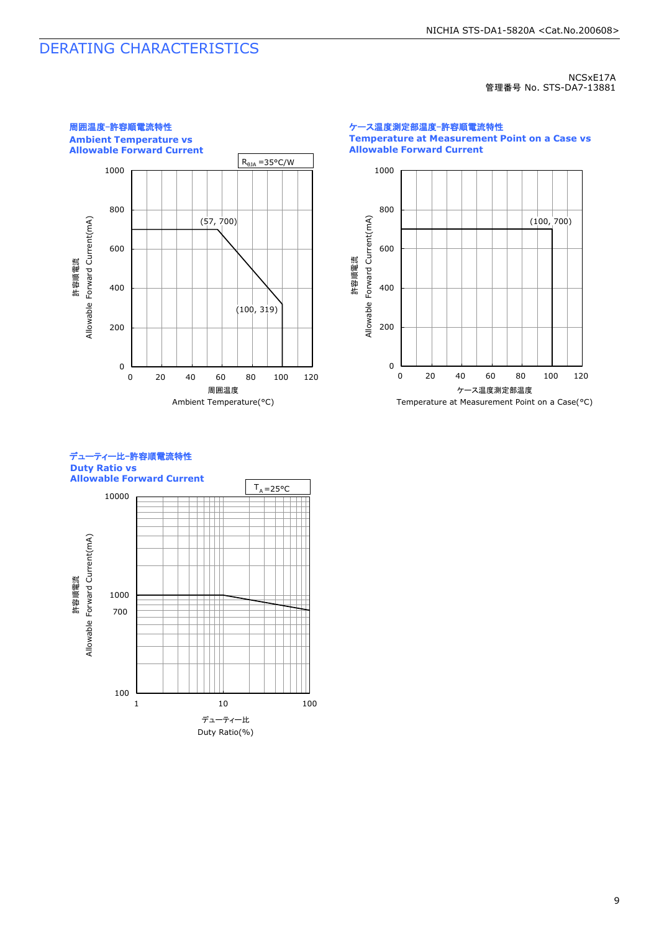# DERATING CHARACTERISTICS

NCSxE17A 管理番号 No. STS-DA7-13881



ケース温度測定部温度-許容順電流特性 **Temperature at Measurement Point on a Case vs Allowable Forward Current**



### デューティー比-許容順電流特性 **Duty Ratio vs Allowable Forward Current**

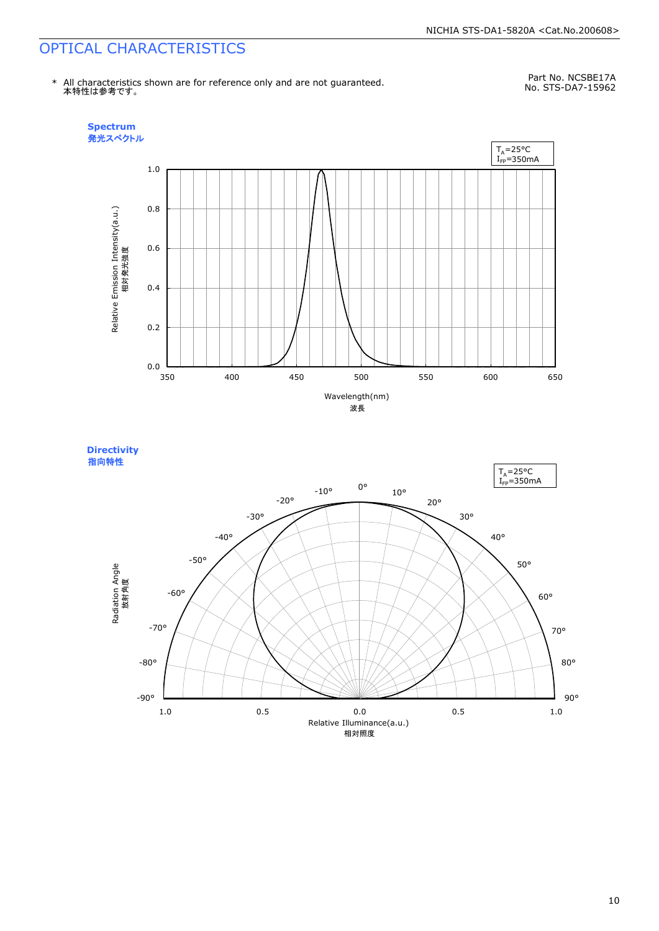# OPTICAL CHARACTERISTICS

\* All characteristics shown are for reference only and are not guaranteed. 本特性は参考です。

Part No. NCSBE17A No. STS-DA7-15962



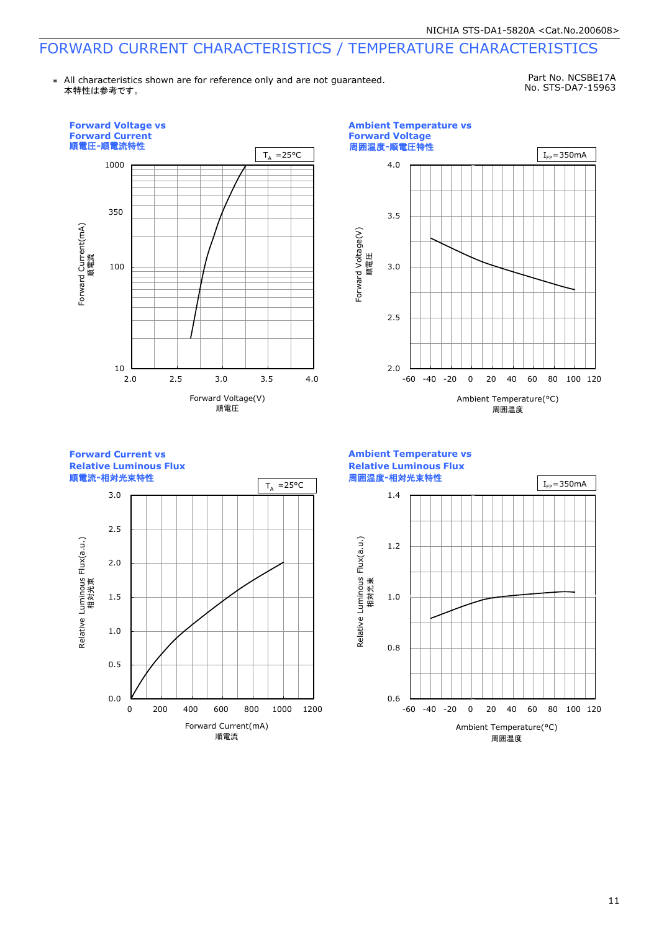# FORWARD CURRENT CHARACTERISTICS / TEMPERATURE CHARACTERISTICS

\* All characteristics shown are for reference only and are not guaranteed. 本特性は参考です。

Part No. NCSBE17A No. STS-DA7-15963

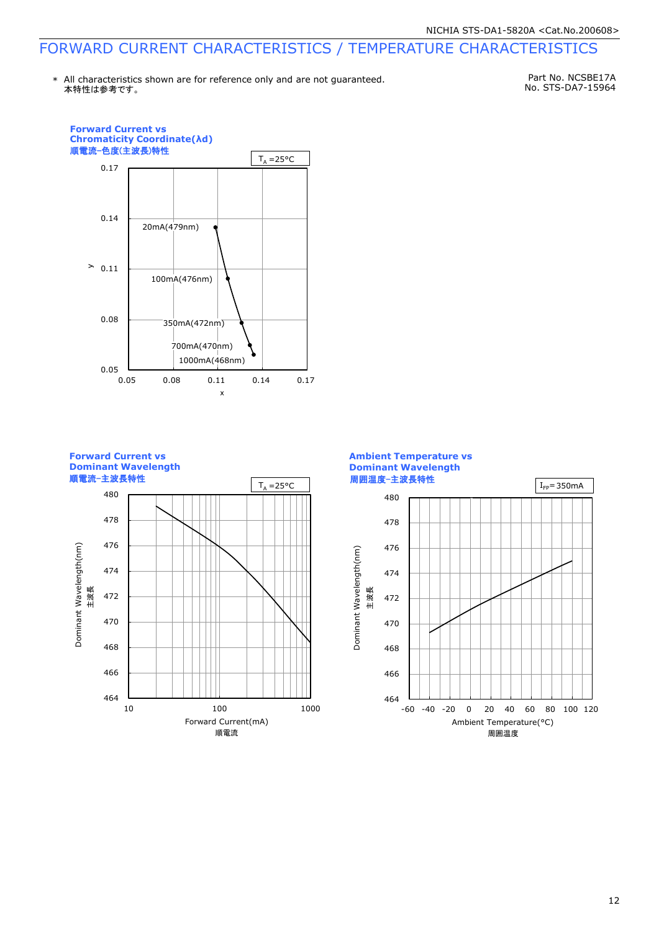# FORWARD CURRENT CHARACTERISTICS / TEMPERATURE CHARACTERISTICS

本特性は参考です。 \* All characteristics shown are for reference only and are not guaranteed.

Part No. NCSBE17A No. STS-DA7-15964



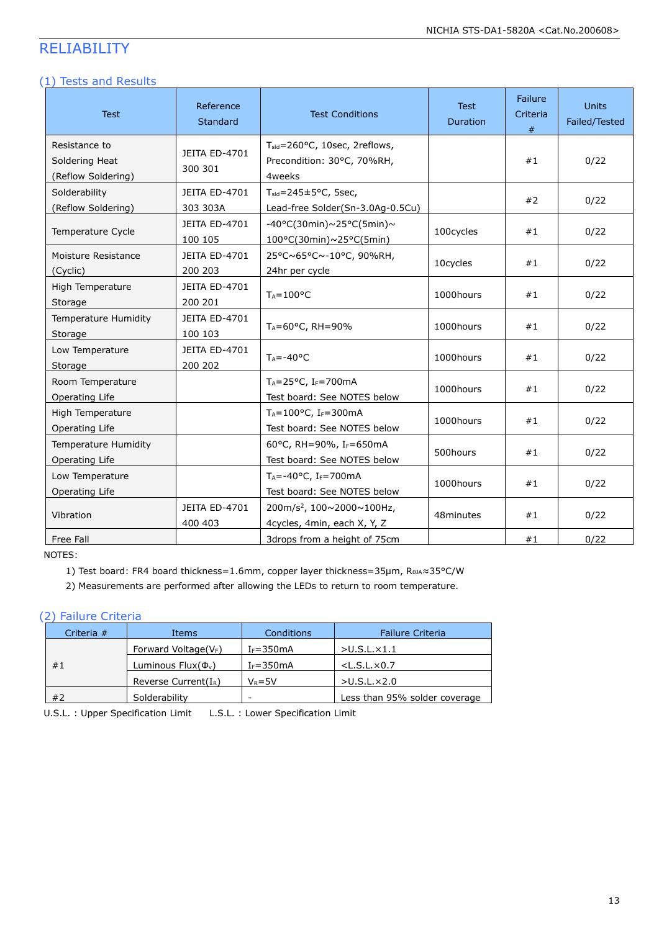# RELIABILITY

### (1) Tests and Results

| <b>Test</b>                                           | Reference<br><b>Standard</b>    | <b>Test Conditions</b>                                                             | <b>Test</b><br>Duration | Failure<br>Criteria<br># | <b>Units</b><br>Failed/Tested |
|-------------------------------------------------------|---------------------------------|------------------------------------------------------------------------------------|-------------------------|--------------------------|-------------------------------|
| Resistance to<br>Soldering Heat<br>(Reflow Soldering) | JEITA ED-4701<br>300 301        | T <sub>sld</sub> =260°C, 10sec, 2reflows,<br>Precondition: 30°C, 70%RH,<br>4weeks  |                         | #1                       | 0/22                          |
| Solderability<br>(Reflow Soldering)                   | JEITA ED-4701<br>303 303A       | $T_{\text{std}} = 245 \pm 5^{\circ}$ C, 5sec,<br>Lead-free Solder(Sn-3.0Ag-0.5Cu)  |                         | #2                       | 0/22                          |
| Temperature Cycle                                     | JEITA ED-4701<br>100 105        | $-40\degree$ C(30min)~25°C(5min)~<br>100°C(30min)~25°C(5min)                       | 100cycles               | #1                       | 0/22                          |
| Moisture Resistance<br>(Cyclic)                       | <b>JEITA ED-4701</b><br>200 203 | 25°C~65°C~-10°C, 90%RH,<br>24hr per cycle                                          | 10cycles                | #1                       | 0/22                          |
| High Temperature<br>Storage                           | JEITA ED-4701<br>200 201        | $T_A = 100$ °C                                                                     | 1000hours               | #1                       | 0/22                          |
| Temperature Humidity<br>Storage                       | JEITA ED-4701<br>100 103        | TA=60°C, RH=90%                                                                    | 1000hours               | #1                       | 0/22                          |
| Low Temperature<br>Storage                            | JEITA ED-4701<br>200 202        | $T_A = -40°C$                                                                      | 1000hours               | #1                       | 0/22                          |
| Room Temperature<br>Operating Life                    |                                 | TA=25°C, IF=700mA<br>Test board: See NOTES below                                   | 1000hours               | #1                       | 0/22                          |
| High Temperature<br>Operating Life                    |                                 | $T_A = 100$ °C, I <sub>F</sub> =300mA<br>Test board: See NOTES below               | 1000hours               | #1                       | 0/22                          |
| Temperature Humidity<br>Operating Life                |                                 | 60°C, RH=90%, IF=650mA<br>Test board: See NOTES below                              | 500hours                | #1                       | 0/22                          |
| Low Temperature<br>Operating Life                     |                                 | $T_A = -40$ °C, I <sub>F</sub> =700mA<br>Test board: See NOTES below               | 1000hours               | #1                       | 0/22                          |
| Vibration                                             | JEITA ED-4701<br>400 403        | 200m/s <sup>2</sup> , 100 $\sim$ 2000 $\sim$ 100Hz,<br>4cycles, 4min, each X, Y, Z | 48minutes               | #1                       | 0/22                          |
| Free Fall                                             |                                 | 3drops from a height of 75cm                                                       |                         | #1                       | 0/22                          |

NOTES:

1) Test board: FR4 board thickness=1.6mm, copper layer thickness=35μm, RθJA≈35°C/W

2) Measurements are performed after allowing the LEDs to return to room temperature.

# (2) Failure Criteria

| Criteria $#$ | Items                    | Conditions    | <b>Failure Criteria</b>       |
|--------------|--------------------------|---------------|-------------------------------|
|              | Forward Voltage( $V_F$ ) | $I_F = 350mA$ | $>$ U.S.L. $\times$ 1.1       |
| #1           | Luminous $Flux(\Phi_v)$  | $I_F = 350mA$ | $<$ L.S.L. $\times$ 0.7       |
|              | Reverse Current $(I_R)$  | $V_R = 5V$    | $>$ U.S.L. $\times$ 2.0       |
| #2           | Solderability            | -             | Less than 95% solder coverage |

U.S.L. : Upper Specification Limit L.S.L. : Lower Specification Limit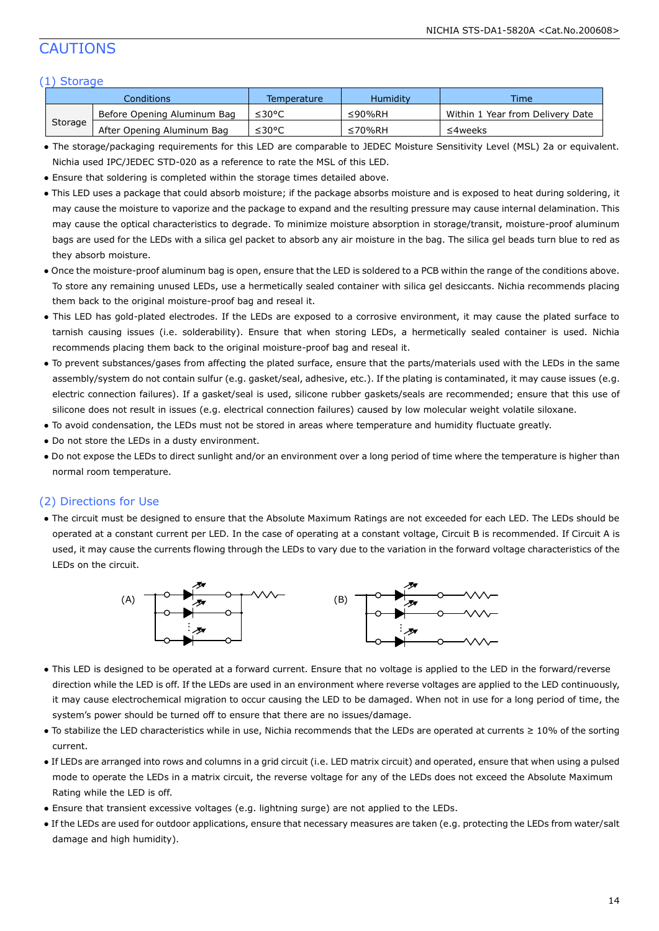# CAUTIONS

### (1) Storage

|         | Conditions                  | Temperature | Humidity | <b>Time</b>                      |
|---------|-----------------------------|-------------|----------|----------------------------------|
|         | Before Opening Aluminum Bag | ≤30°C       | ≤90%RH   | Within 1 Year from Delivery Date |
| Storage | After Opening Aluminum Bag  | ≤30°C       | ≤70%RH   | ≤4weeks                          |

- The storage/packaging requirements for this LED are comparable to JEDEC Moisture Sensitivity Level (MSL) 2a or equivalent. Nichia used IPC/JEDEC STD-020 as a reference to rate the MSL of this LED.
- Ensure that soldering is completed within the storage times detailed above.
- This LED uses a package that could absorb moisture; if the package absorbs moisture and is exposed to heat during soldering, it may cause the moisture to vaporize and the package to expand and the resulting pressure may cause internal delamination. This may cause the optical characteristics to degrade. To minimize moisture absorption in storage/transit, moisture-proof aluminum bags are used for the LEDs with a silica gel packet to absorb any air moisture in the bag. The silica gel beads turn blue to red as they absorb moisture.
- Once the moisture-proof aluminum bag is open, ensure that the LED is soldered to a PCB within the range of the conditions above. To store any remaining unused LEDs, use a hermetically sealed container with silica gel desiccants. Nichia recommends placing them back to the original moisture-proof bag and reseal it.
- This LED has gold-plated electrodes. If the LEDs are exposed to a corrosive environment, it may cause the plated surface to tarnish causing issues (i.e. solderability). Ensure that when storing LEDs, a hermetically sealed container is used. Nichia recommends placing them back to the original moisture-proof bag and reseal it.
- To prevent substances/gases from affecting the plated surface, ensure that the parts/materials used with the LEDs in the same assembly/system do not contain sulfur (e.g. gasket/seal, adhesive, etc.). If the plating is contaminated, it may cause issues (e.g. electric connection failures). If a gasket/seal is used, silicone rubber gaskets/seals are recommended; ensure that this use of silicone does not result in issues (e.g. electrical connection failures) caused by low molecular weight volatile siloxane.
- To avoid condensation, the LEDs must not be stored in areas where temperature and humidity fluctuate greatly.
- Do not store the LEDs in a dusty environment.
- Do not expose the LEDs to direct sunlight and/or an environment over a long period of time where the temperature is higher than normal room temperature.

### (2) Directions for Use

● The circuit must be designed to ensure that the Absolute Maximum Ratings are not exceeded for each LED. The LEDs should be operated at a constant current per LED. In the case of operating at a constant voltage, Circuit B is recommended. If Circuit A is used, it may cause the currents flowing through the LEDs to vary due to the variation in the forward voltage characteristics of the LEDs on the circuit.



- This LED is designed to be operated at a forward current. Ensure that no voltage is applied to the LED in the forward/reverse direction while the LED is off. If the LEDs are used in an environment where reverse voltages are applied to the LED continuously, it may cause electrochemical migration to occur causing the LED to be damaged. When not in use for a long period of time, the system's power should be turned off to ensure that there are no issues/damage.
- To stabilize the LED characteristics while in use, Nichia recommends that the LEDs are operated at currents ≥ 10% of the sorting current.
- If LEDs are arranged into rows and columns in a grid circuit (i.e. LED matrix circuit) and operated, ensure that when using a pulsed mode to operate the LEDs in a matrix circuit, the reverse voltage for any of the LEDs does not exceed the Absolute Maximum Rating while the LED is off.
- Ensure that transient excessive voltages (e.g. lightning surge) are not applied to the LEDs.
- If the LEDs are used for outdoor applications, ensure that necessary measures are taken (e.g. protecting the LEDs from water/salt damage and high humidity).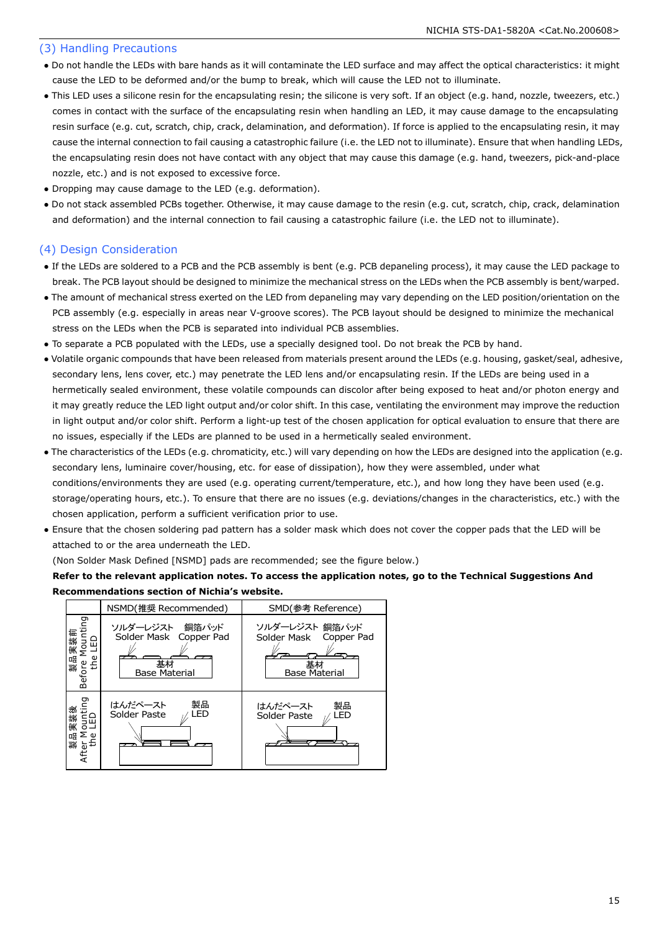### (3) Handling Precautions

- Do not handle the LEDs with bare hands as it will contaminate the LED surface and may affect the optical characteristics: it might cause the LED to be deformed and/or the bump to break, which will cause the LED not to illuminate.
- This LED uses a silicone resin for the encapsulating resin; the silicone is very soft. If an object (e.g. hand, nozzle, tweezers, etc.) comes in contact with the surface of the encapsulating resin when handling an LED, it may cause damage to the encapsulating resin surface (e.g. cut, scratch, chip, crack, delamination, and deformation). If force is applied to the encapsulating resin, it may cause the internal connection to fail causing a catastrophic failure (i.e. the LED not to illuminate). Ensure that when handling LEDs, the encapsulating resin does not have contact with any object that may cause this damage (e.g. hand, tweezers, pick-and-place nozzle, etc.) and is not exposed to excessive force.
- Dropping may cause damage to the LED (e.g. deformation).
- Do not stack assembled PCBs together. Otherwise, it may cause damage to the resin (e.g. cut, scratch, chip, crack, delamination and deformation) and the internal connection to fail causing a catastrophic failure (i.e. the LED not to illuminate).

## (4) Design Consideration

- If the LEDs are soldered to a PCB and the PCB assembly is bent (e.g. PCB depaneling process), it may cause the LED package to break. The PCB layout should be designed to minimize the mechanical stress on the LEDs when the PCB assembly is bent/warped.
- The amount of mechanical stress exerted on the LED from depaneling may vary depending on the LED position/orientation on the PCB assembly (e.g. especially in areas near V-groove scores). The PCB layout should be designed to minimize the mechanical stress on the LEDs when the PCB is separated into individual PCB assemblies.
- To separate a PCB populated with the LEDs, use a specially designed tool. Do not break the PCB by hand.
- Volatile organic compounds that have been released from materials present around the LEDs (e.g. housing, gasket/seal, adhesive, secondary lens, lens cover, etc.) may penetrate the LED lens and/or encapsulating resin. If the LEDs are being used in a hermetically sealed environment, these volatile compounds can discolor after being exposed to heat and/or photon energy and it may greatly reduce the LED light output and/or color shift. In this case, ventilating the environment may improve the reduction in light output and/or color shift. Perform a light-up test of the chosen application for optical evaluation to ensure that there are no issues, especially if the LEDs are planned to be used in a hermetically sealed environment.
- The characteristics of the LEDs (e.g. chromaticity, etc.) will vary depending on how the LEDs are designed into the application (e.g. secondary lens, luminaire cover/housing, etc. for ease of dissipation), how they were assembled, under what conditions/environments they are used (e.g. operating current/temperature, etc.), and how long they have been used (e.g. storage/operating hours, etc.). To ensure that there are no issues (e.g. deviations/changes in the characteristics, etc.) with the chosen application, perform a sufficient verification prior to use.
- Ensure that the chosen soldering pad pattern has a solder mask which does not cover the copper pads that the LED will be attached to or the area underneath the LED.

(Non Solder Mask Defined [NSMD] pads are recommended; see the figure below.)

### **Refer to the relevant application notes. To access the application notes, go to the Technical Suggestions And Recommendations section of Nichia's website.**

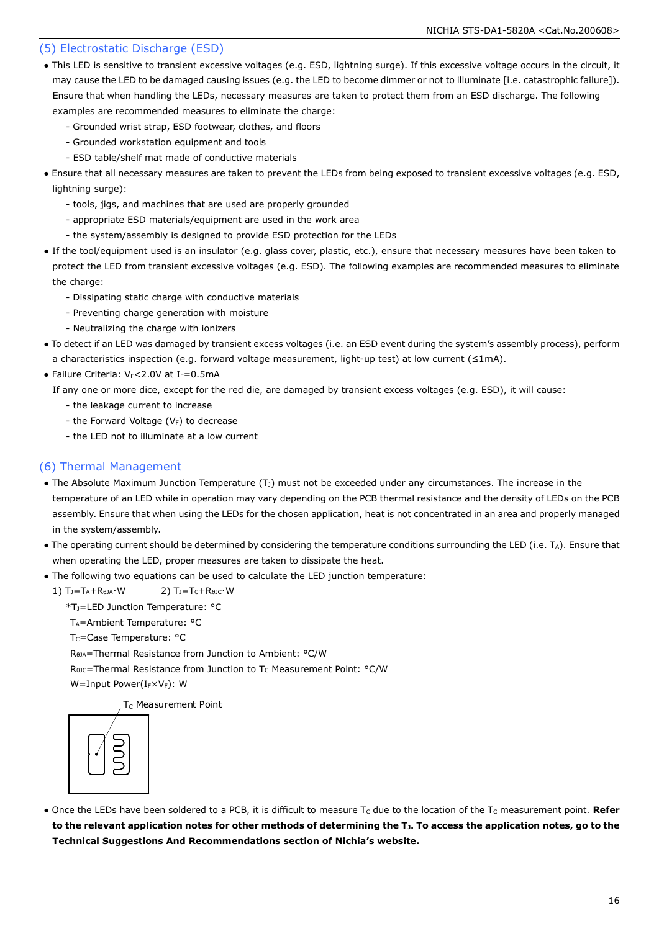### (5) Electrostatic Discharge (ESD)

- This LED is sensitive to transient excessive voltages (e.g. ESD, lightning surge). If this excessive voltage occurs in the circuit, it may cause the LED to be damaged causing issues (e.g. the LED to become dimmer or not to illuminate [i.e. catastrophic failure]). Ensure that when handling the LEDs, necessary measures are taken to protect them from an ESD discharge. The following examples are recommended measures to eliminate the charge:
	- Grounded wrist strap, ESD footwear, clothes, and floors
	- Grounded workstation equipment and tools
	- ESD table/shelf mat made of conductive materials
- Ensure that all necessary measures are taken to prevent the LEDs from being exposed to transient excessive voltages (e.g. ESD, lightning surge):
	- tools, jigs, and machines that are used are properly grounded
	- appropriate ESD materials/equipment are used in the work area
	- the system/assembly is designed to provide ESD protection for the LEDs
- If the tool/equipment used is an insulator (e.g. glass cover, plastic, etc.), ensure that necessary measures have been taken to protect the LED from transient excessive voltages (e.g. ESD). The following examples are recommended measures to eliminate the charge:
	- Dissipating static charge with conductive materials
	- Preventing charge generation with moisture
	- Neutralizing the charge with ionizers
- To detect if an LED was damaged by transient excess voltages (i.e. an ESD event during the system's assembly process), perform a characteristics inspection (e.g. forward voltage measurement, light-up test) at low current (≤1mA).
- Failure Criteria:  $V_F < 2.0V$  at I $_F = 0.5mA$

If any one or more dice, except for the red die, are damaged by transient excess voltages (e.g. ESD), it will cause:

- the leakage current to increase
- the Forward Voltage  $(V_F)$  to decrease
- the LED not to illuminate at a low current

### (6) Thermal Management

- The Absolute Maximum Junction Temperature  $(T<sub>J</sub>)$  must not be exceeded under any circumstances. The increase in the temperature of an LED while in operation may vary depending on the PCB thermal resistance and the density of LEDs on the PCB assembly. Ensure that when using the LEDs for the chosen application, heat is not concentrated in an area and properly managed in the system/assembly.
- The operating current should be determined by considering the temperature conditions surrounding the LED (i.e. TA). Ensure that when operating the LED, proper measures are taken to dissipate the heat.
- The following two equations can be used to calculate the LED junction temperature:
	- 1)  $T_J = T_A + R_{\thetaJA} \cdot W$  2)  $T_J = T_C + R_{\theta JC} \cdot W$ 
		- \*TJ=LED Junction Temperature: °C
		- T<sub>A</sub>=Ambient Temperature: °C
		- T<sub>C</sub>=Case Temperature: °C
		- RθJA=Thermal Resistance from Junction to Ambient: °C/W
		- R<sub>θJC</sub>=Thermal Resistance from Junction to T<sub>C</sub> Measurement Point: °C/W
		- W=Input Power(IFXVF): W

T<sub>C</sub> Measurement Point



• Once the LEDs have been soldered to a PCB, it is difficult to measure T<sub>c</sub> due to the location of the T<sub>c</sub> measurement point. Refer **to the relevant application notes for other methods of determining the TJ. To access the application notes, go to the Technical Suggestions And Recommendations section of Nichia's website.**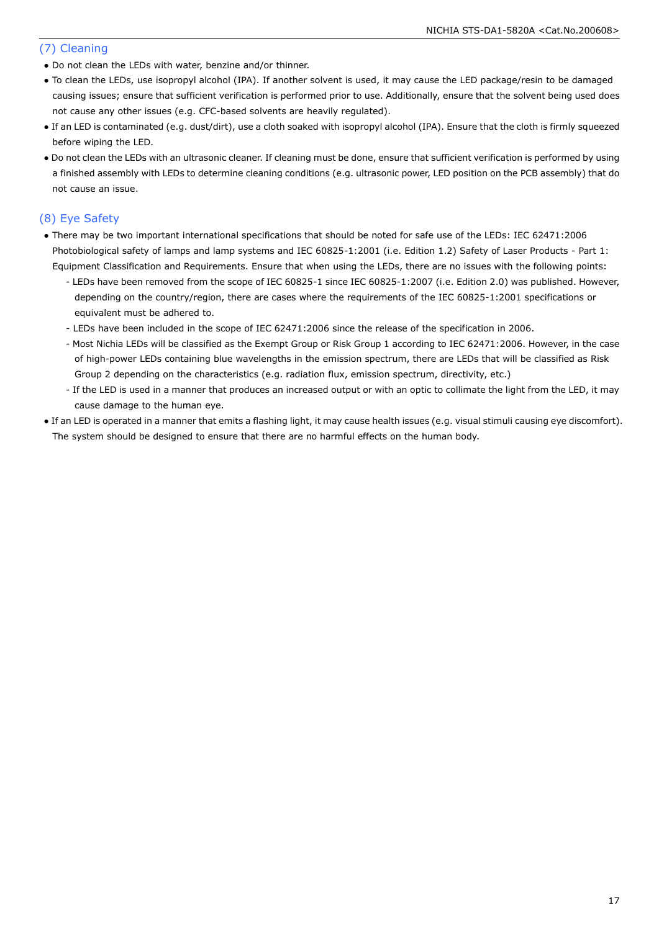### (7) Cleaning

- Do not clean the LEDs with water, benzine and/or thinner.
- To clean the LEDs, use isopropyl alcohol (IPA). If another solvent is used, it may cause the LED package/resin to be damaged causing issues; ensure that sufficient verification is performed prior to use. Additionally, ensure that the solvent being used does not cause any other issues (e.g. CFC-based solvents are heavily regulated).
- If an LED is contaminated (e.g. dust/dirt), use a cloth soaked with isopropyl alcohol (IPA). Ensure that the cloth is firmly squeezed before wiping the LED.
- Do not clean the LEDs with an ultrasonic cleaner. If cleaning must be done, ensure that sufficient verification is performed by using a finished assembly with LEDs to determine cleaning conditions (e.g. ultrasonic power, LED position on the PCB assembly) that do not cause an issue.

### (8) Eye Safety

- There may be two important international specifications that should be noted for safe use of the LEDs: IEC 62471:2006 Photobiological safety of lamps and lamp systems and IEC 60825-1:2001 (i.e. Edition 1.2) Safety of Laser Products - Part 1: Equipment Classification and Requirements. Ensure that when using the LEDs, there are no issues with the following points:
	- LEDs have been removed from the scope of IEC 60825-1 since IEC 60825-1:2007 (i.e. Edition 2.0) was published. However, depending on the country/region, there are cases where the requirements of the IEC 60825-1:2001 specifications or equivalent must be adhered to.
	- LEDs have been included in the scope of IEC 62471:2006 since the release of the specification in 2006.
	- Most Nichia LEDs will be classified as the Exempt Group or Risk Group 1 according to IEC 62471:2006. However, in the case of high-power LEDs containing blue wavelengths in the emission spectrum, there are LEDs that will be classified as Risk Group 2 depending on the characteristics (e.g. radiation flux, emission spectrum, directivity, etc.)
	- If the LED is used in a manner that produces an increased output or with an optic to collimate the light from the LED, it may cause damage to the human eye.
- If an LED is operated in a manner that emits a flashing light, it may cause health issues (e.g. visual stimuli causing eye discomfort). The system should be designed to ensure that there are no harmful effects on the human body.